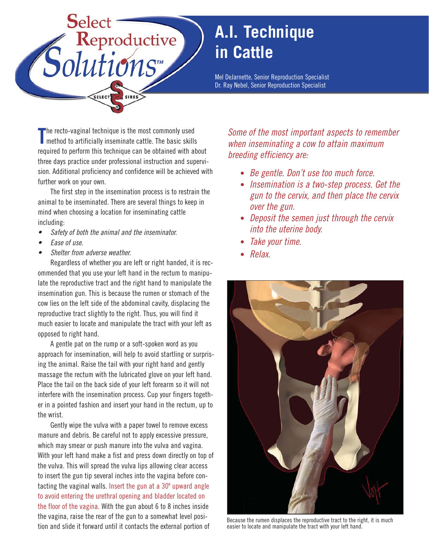

## **A.I. Technique in Cattle**

Mel DeJarnette, Senior Reproduction Specialist Dr. Ray Nebel, Senior Reproduction Specialist

The recto-vaginal technique is the most commonly used<br>
method to artificially inseminate cattle. The basic skill method to artificially inseminate cattle. The basic skills required to perform this technique can be obtained with about three days practice under professional instruction and supervision. Additional proficiency and confidence will be achieved with further work on your own.

The first step in the insemination process is to restrain the animal to be inseminated. There are several things to keep in mind when choosing a location for inseminating cattle including:

- •Safety of both the animal and the inseminator.
- •Ease of use.
- •Shelter from adverse weather.

Regardless of whether you are left or right handed, it is recommended that you use your left hand in the rectum to manipulate the reproductive tract and the right hand to manipulate the insemination gun. This is because the rumen or stomach of the cow lies on the left side of the abdominal cavity, displacing the reproductive tract slightly to the right. Thus, you will find it much easier to locate and manipulate the tract with your left as opposed to right hand.

A gentle pat on the rump or a soft-spoken word as you approach for insemination, will help to avoid startling or surprising the animal. Raise the tail with your right hand and gently massage the rectum with the lubricated glove on your left hand. Place the tail on the back side of your left forearm so it will not interfere with the insemination process. Cup your fingers together in a pointed fashion and insert your hand in the rectum, up to the wrist.

Gently wipe the vulva with a paper towel to remove excess manure and debris. Be careful not to apply excessive pressure, which may smear or push manure into the vulva and vagina. With your left hand make a fist and press down directly on top of the vulva. This will spread the vulva lips allowing clear access to insert the gun tip several inches into the vagina before contacting the vaginal walls. Insert the gun at a 30º upward angle to avoid entering the urethral opening and bladder located on the floor of the vagina. With the gun about 6 to 8 inches inside the vagina, raise the rear of the gun to a somewhat level position and slide it forward until it contacts the external portion of

Some of the most important aspects to remember when inseminating a cow to attain maximum breeding efficiency are:

- Be gentle. Don't use too much force.
- Insemination is a two-step process. Get the gun to the cervix, and then place the cervix over the gun.
- Deposit the semen just through the cervix into the uterine body.
- Take your time.
- Relax.



Because the rumen displaces the reproductive tract to the right, it is much easier to locate and manipulate the tract with your left hand.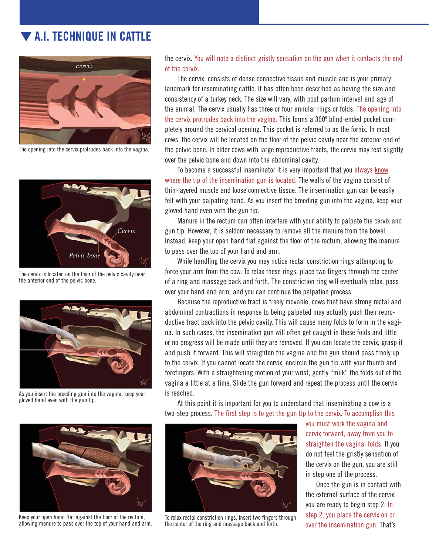## ▼ **A.I. TECHNIQUE IN CATTLE**



The opening into the cervix protrudes back into the vagina.



The cervix is located on the floor of the pelvic cavity near the anterior end of the pelvic bone.



As you insert the breeding gun into the vagina, keep your gloved hand even with the gun tip.



Keep your open hand flat against the floor of the rectum, allowing manure to pass over the top of your hand and arm.

the cervix. You will note a distinct gristly sensation on the gun when it contacts the end of the cervix.

The cervix, consists of dense connective tissue and muscle and is your primary landmark for inseminating cattle. It has often been described as having the size and consistency of a turkey neck. The size will vary, with post partum interval and age of the animal. The cervix usually has three or four annular rings or folds. The opening into the cervix protrudes back into the vagina. This forms a 360º blind-ended pocket completely around the cervical opening. This pocket is referred to as the fornix. In most cows, the cervix will be located on the floor of the pelvic cavity near the anterior end of the pelvic bone. In older cows with large reproductive tracts, the cervix may rest slightly over the pelvic bone and down into the abdominal cavity.

To become a successful inseminator it is very important that you always know where the tip of the insemination gun is located. The walls of the vagina consist of thin-layered muscle and loose connective tissue. The insemination gun can be easily felt with your palpating hand. As you insert the breeding gun into the vagina, keep your gloved hand even with the gun tip.

Manure in the rectum can often interfere with your ability to palpate the cervix and gun tip. However, it is seldom necessary to remove all the manure from the bowel. Instead, keep your open hand flat against the floor of the rectum, allowing the manure to pass over the top of your hand and arm.

While handling the cervix you may notice rectal constriction rings attempting to force your arm from the cow. To relax these rings, place two fingers through the center of a ring and massage back and forth. The constriction ring will eventually relax, pass over your hand and arm, and you can continue the palpation process.

Because the reproductive tract is freely movable, cows that have strong rectal and abdominal contractions in response to being palpated may actually push their reproductive tract back into the pelvic cavity. This will cause many folds to form in the vagina. In such cases, the insemination gun will often get caught in these folds and little or no progress will be made until they are removed. If you can locate the cervix, grasp it and push it forward. This will straighten the vagina and the gun should pass freely up to the cervix. If you cannot locate the cervix, encircle the gun tip with your thumb and forefingers. With a straightening motion of your wrist, gently "milk" the folds out of the vagina a little at a time. Slide the gun forward and repeat the process until the cervix is reached.

At this point it is important for you to understand that inseminating a cow is a two-step process. The first step is to get the gun tip to the cervix. To accomplish this



To relax rectal constriction rings, insert two fingers through the center of the ring and massage back and forth.

you must work the vagina and cervix forward, away from you to straighten the vaginal folds. If you do not feel the gristly sensation of the cervix on the gun, you are still in step one of the process.

Once the gun is in contact with the external surface of the cervix you are ready to begin step 2. In step 2, you place the cervix on or over the insemination gun. That's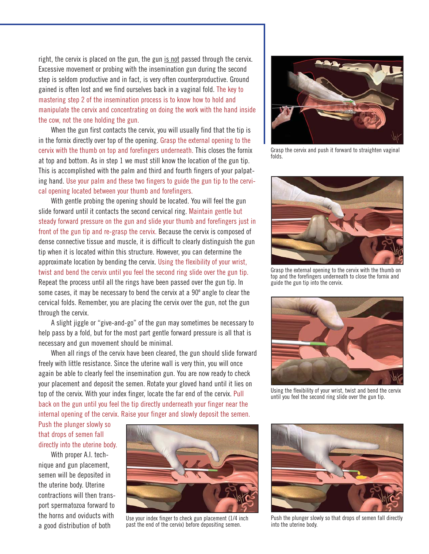right, the cervix is placed on the gun, the gun is not passed through the cervix. Excessive movement or probing with the insemination gun during the second step is seldom productive and in fact, is very often counterproductive. Ground gained is often lost and we find ourselves back in a vaginal fold. The key to mastering step 2 of the insemination process is to know how to hold and manipulate the cervix and concentrating on doing the work with the hand inside the cow, not the one holding the gun.

When the gun first contacts the cervix, you will usually find that the tip is in the fornix directly over top of the opening. Grasp the external opening to the cervix with the thumb on top and forefingers underneath. This closes the fornix at top and bottom. As in step 1 we must still know the location of the gun tip. This is accomplished with the palm and third and fourth fingers of your palpating hand. Use your palm and these two fingers to guide the gun tip to the cervical opening located between your thumb and forefingers.

With gentle probing the opening should be located. You will feel the gun slide forward until it contacts the second cervical ring. Maintain gentle but steady forward pressure on the gun and slide your thumb and forefingers just in front of the gun tip and re-grasp the cervix. Because the cervix is composed of dense connective tissue and muscle, it is difficult to clearly distinguish the gun tip when it is located within this structure. However, you can determine the approximate location by bending the cervix. Using the flexibility of your wrist, twist and bend the cervix until you feel the second ring slide over the gun tip. Repeat the process until all the rings have been passed over the gun tip. In some cases, it may be necessary to bend the cervix at a 90º angle to clear the cervical folds. Remember, you are placing the cervix over the gun, not the gun through the cervix.

A slight jiggle or "give-and-go" of the gun may sometimes be necessary to help pass by a fold, but for the most part gentle forward pressure is all that is necessary and gun movement should be minimal.

When all rings of the cervix have been cleared, the gun should slide forward freely with little resistance. Since the uterine wall is very thin, you will once again be able to clearly feel the insemination gun. You are now ready to check your placement and deposit the semen. Rotate your gloved hand until it lies on top of the cervix. With your index finger, locate the far end of the cervix. Pull back on the gun until you feel the tip directly underneath your finger near the internal opening of the cervix. Raise your finger and slowly deposit the semen.

Push the plunger slowly so that drops of semen fall directly into the uterine body.

With proper A.I. technique and gun placement, semen will be deposited in the uterine body. Uterine contractions will then transport spermatozoa forward to the horns and oviducts with a good distribution of both



Use your index finger to check gun placement (1/4 inch past the end of the cervix) before depositing semen.



Grasp the cervix and push it forward to straighten vaginal folds.



Grasp the external opening to the cervix with the thumb on top and the forefingers underneath to close the fornix and guide the gun tip into the cervix.



Using the flexibility of your wrist, twist and bend the cervix until you feel the second ring slide over the gun tip.



Push the plunger slowly so that drops of semen fall directly into the uterine body.